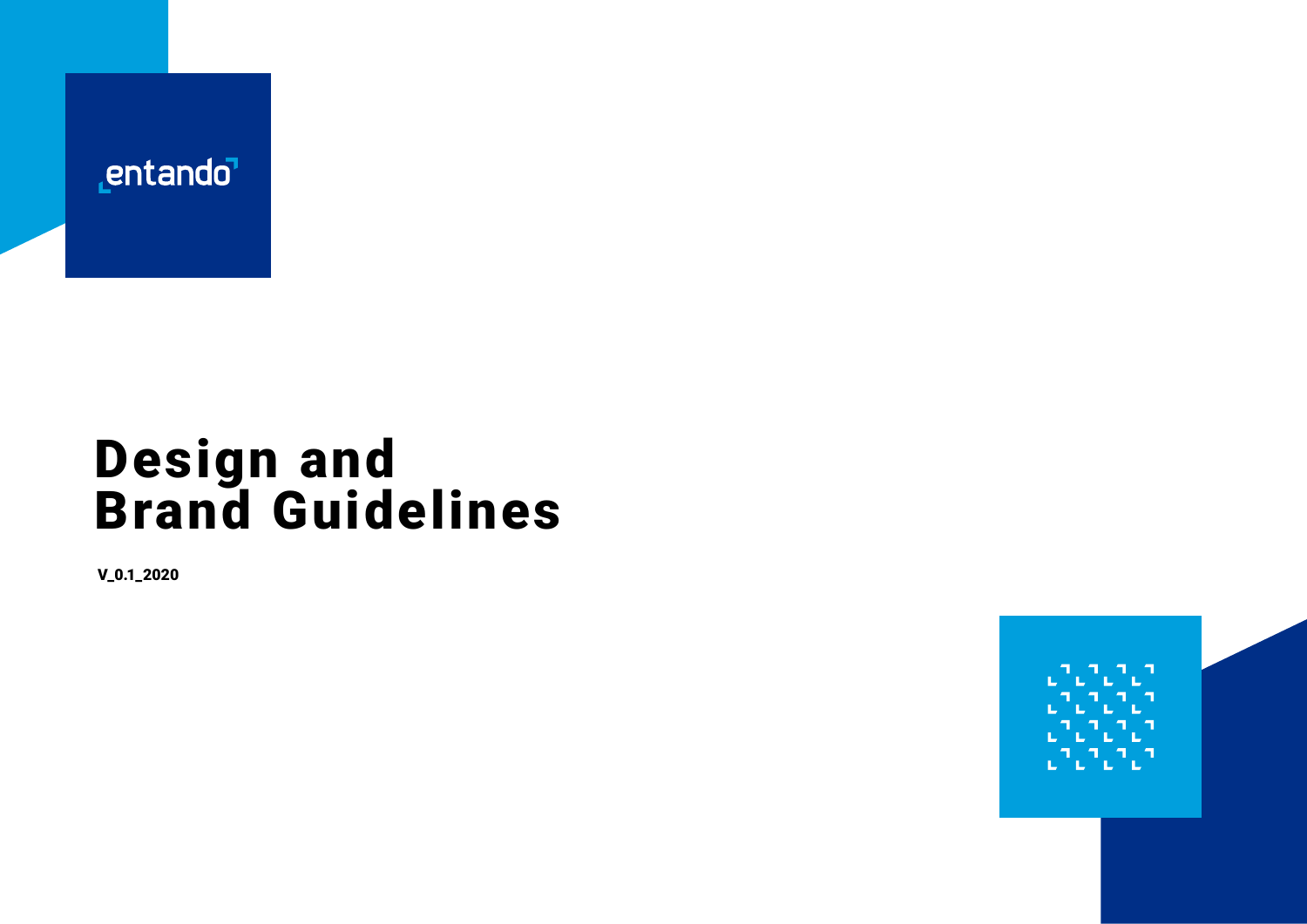

## Design and Brand Guidelines

V\_0.1\_2020

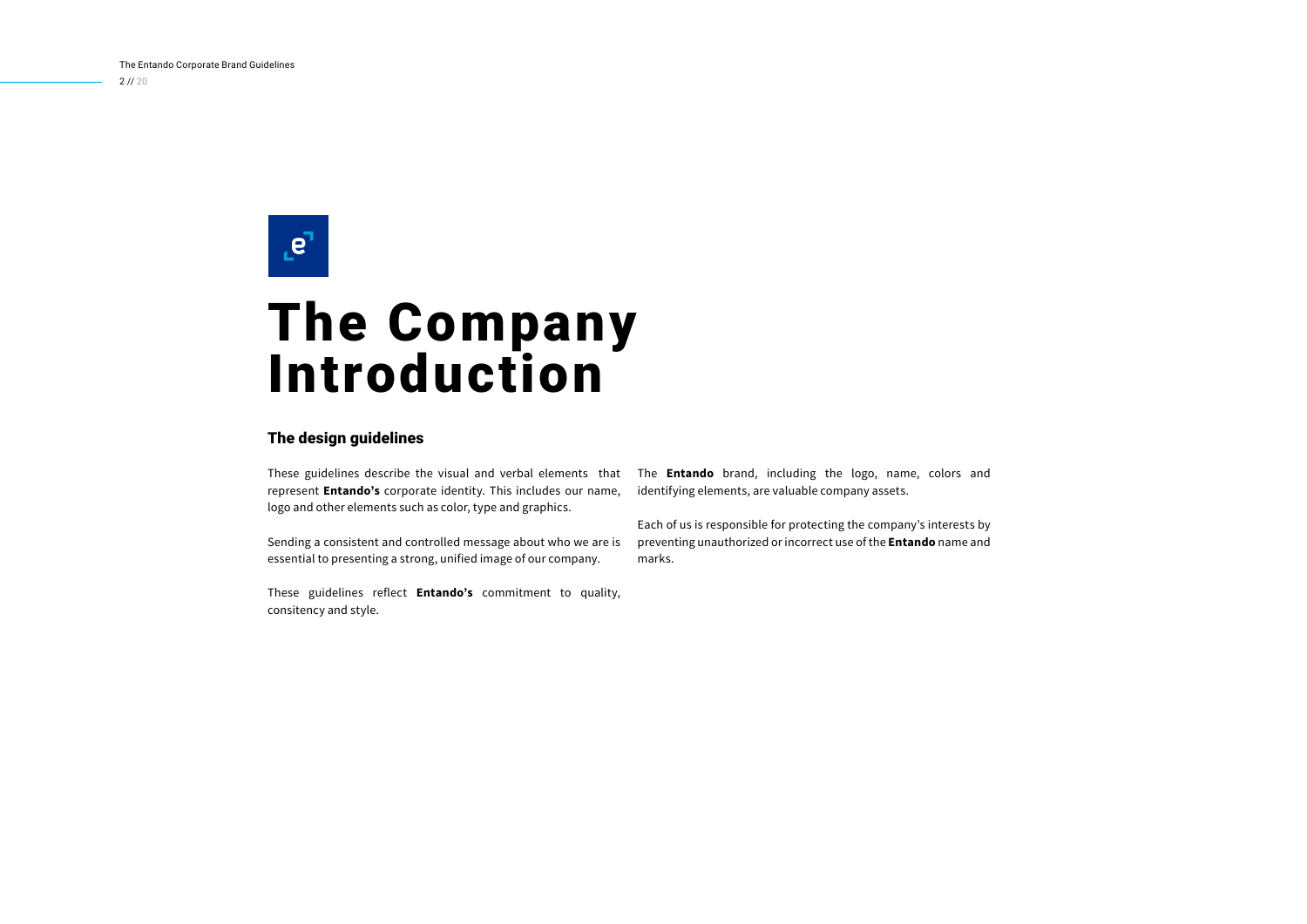$2 / 1 / 20$ 

## $e^7$

## The Company Introduction

#### The design guidelines

These guidelines describe the visual and verbal elements that represent **Entando's** corporate identity. This includes our name, logo and other elements such as color, type and graphics.

Sending a consistent and controlled message about who we are is essential to presenting a strong, unified image of our company.

These guidelines reflect **Entando's** commitment to quality, consitency and style.

The **Entando** brand, including the logo, name, colors and identifying elements, are valuable company assets.

Each of us is responsible for protecting the company's interests by preventing unauthorized or incorrect use of the **Entando** name and marks.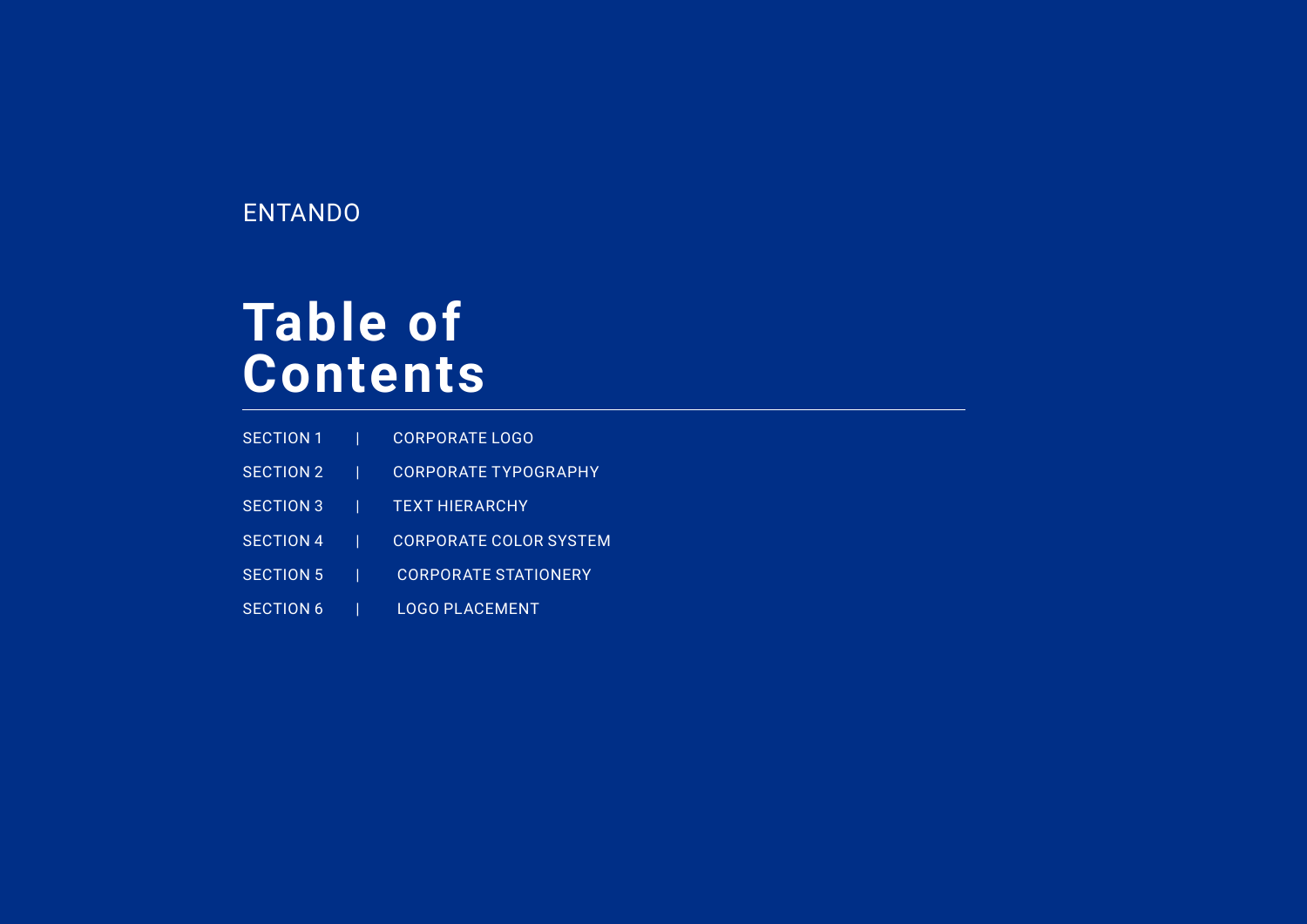## ENTANDO

## **Table of Contents**

- SECTION 1 | CORPORATE LOGO
- SECTION 2 | CORPORATE TYPOGRAPHY
- SECTION 3 | TEXT HIERARCHY
- SECTION 4 | CORPORATE COLOR SYSTEM
- SECTION 5 | CORPORATE STATIONERY
- SECTION 6 | LOGO PLACEMENT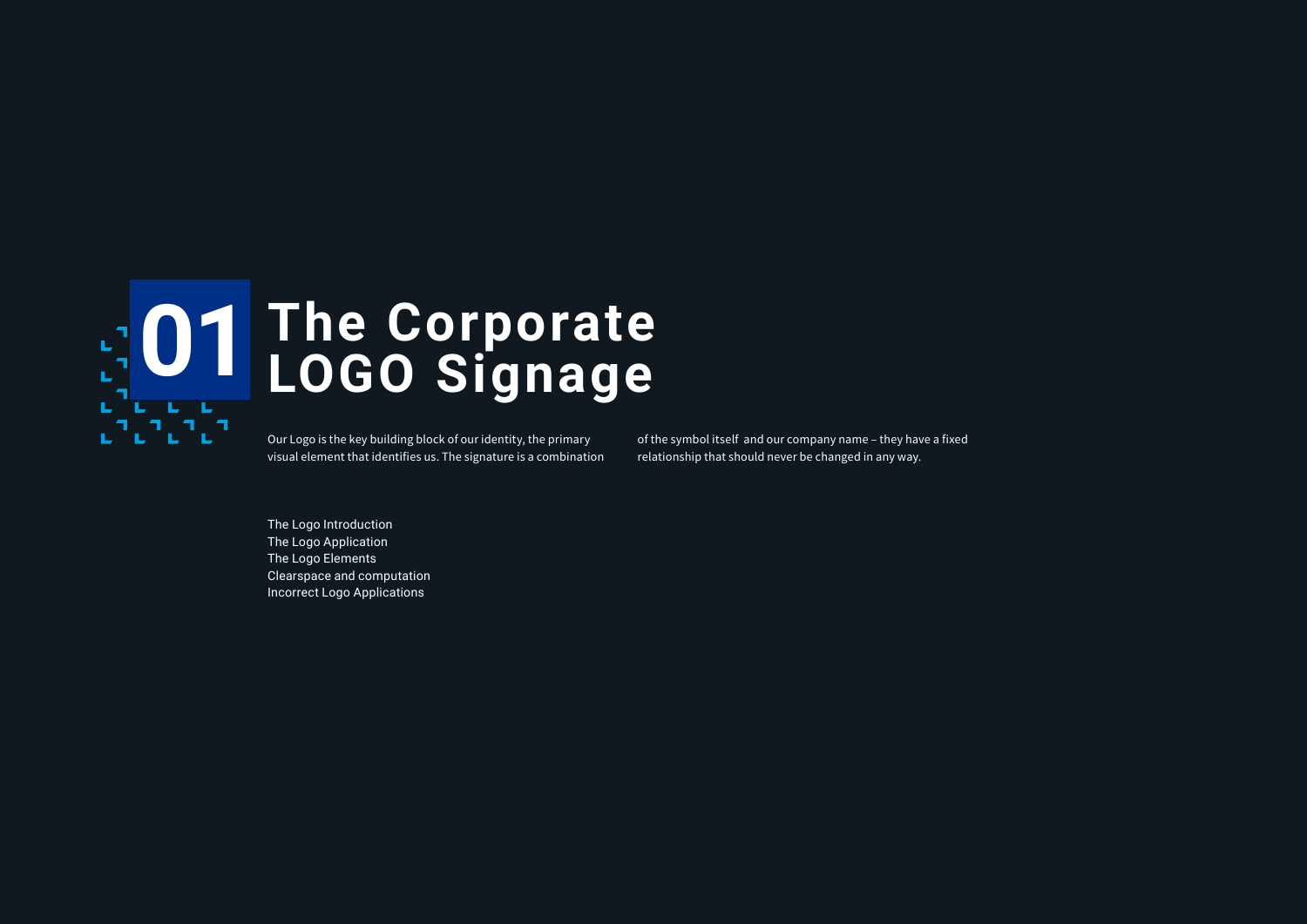

## **The Corporate O1** The Corporate<br>
LOGO Signage

Our Logo is the key building block of our identity, the primary visual element that identifies us. The signature is a combination of the symbol itself and our company name – they have a fixed relationship that should never be changed in any way.

The Logo Introduction The Logo Application The Logo Elements Clearspace and computation Incorrect Logo Applications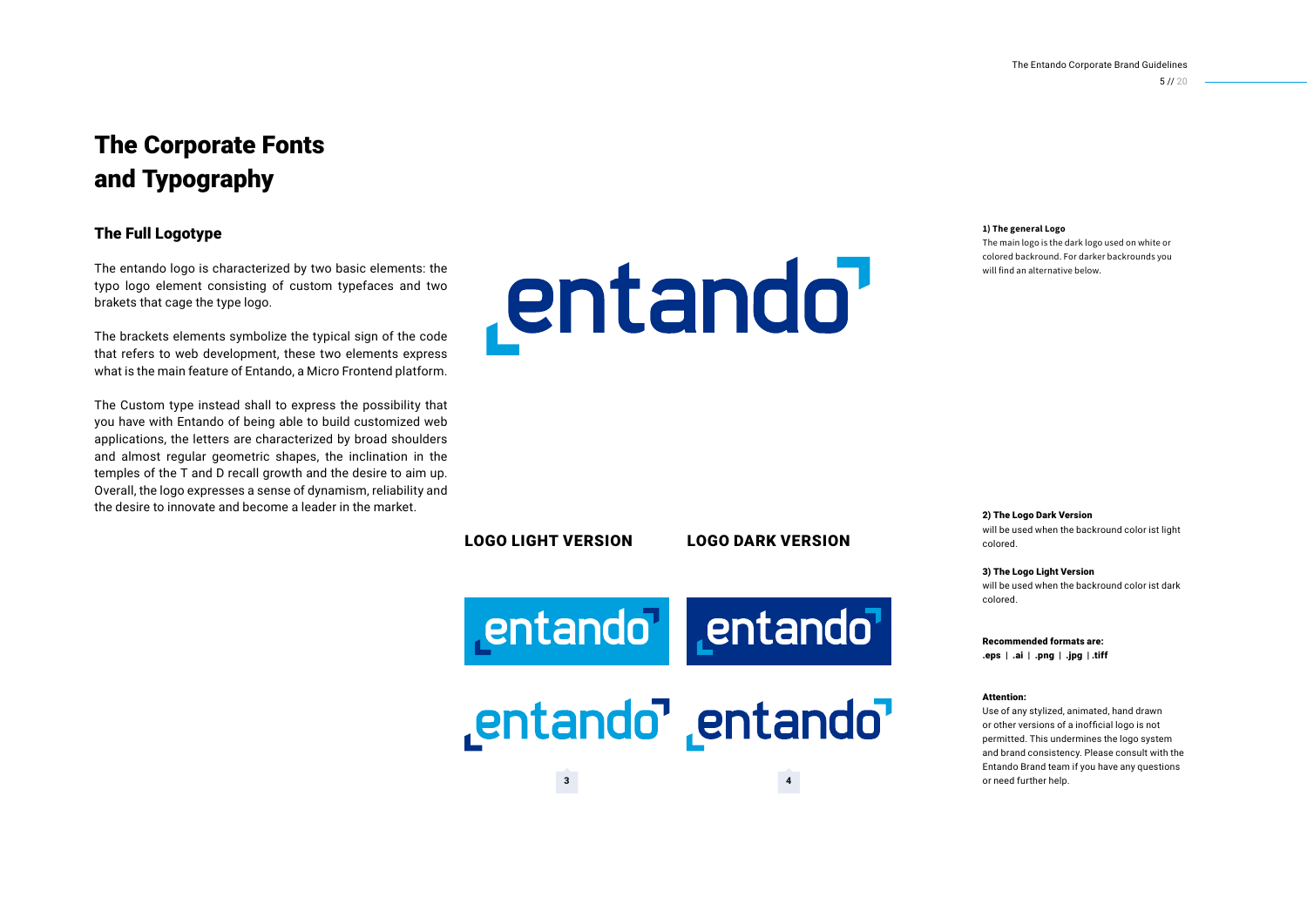## The Corporate Fonts and Typography

#### The Full Logotype

The entando logo is characterized by two basic elements: the typo logo element consisting of custom typefaces and two brakets that cage the type logo.

The brackets elements symbolize the typical sign of the code that refers to web development, these two elements express what is the main feature of Entando, a Micro Frontend platform.

The Custom type instead shall to express the possibility that you have with Entando of being able to build customized web applications, the letters are characterized by broad shoulders and almost regular geometric shapes, the inclination in the temples of the T and D recall growth and the desire to aim up. Overall, the logo expresses a sense of dynamism, reliability and the desire to innovate and become a leader in the market.

entando

**1) The general Logo** 

The main logo is the dark logo used on white or colored backround. For darker backrounds you will find an alternative below.

2) The Logo Dark Version

will be used when the backround color ist light colored.

3) The Logo Light Version will be used when the backround color ist dark colored.

Recommended formats are: .eps | .ai | .png | .jpg | .tiff

#### Attention:

Use of any stylized, animated, hand drawn or other versions of a inofficial logo is not permitted. This undermines the logo system and brand consistency. Please consult with the Entando Brand team if you have any questions or need further help.

LOGO LIGHT VERSION LOGO DARK VERSION

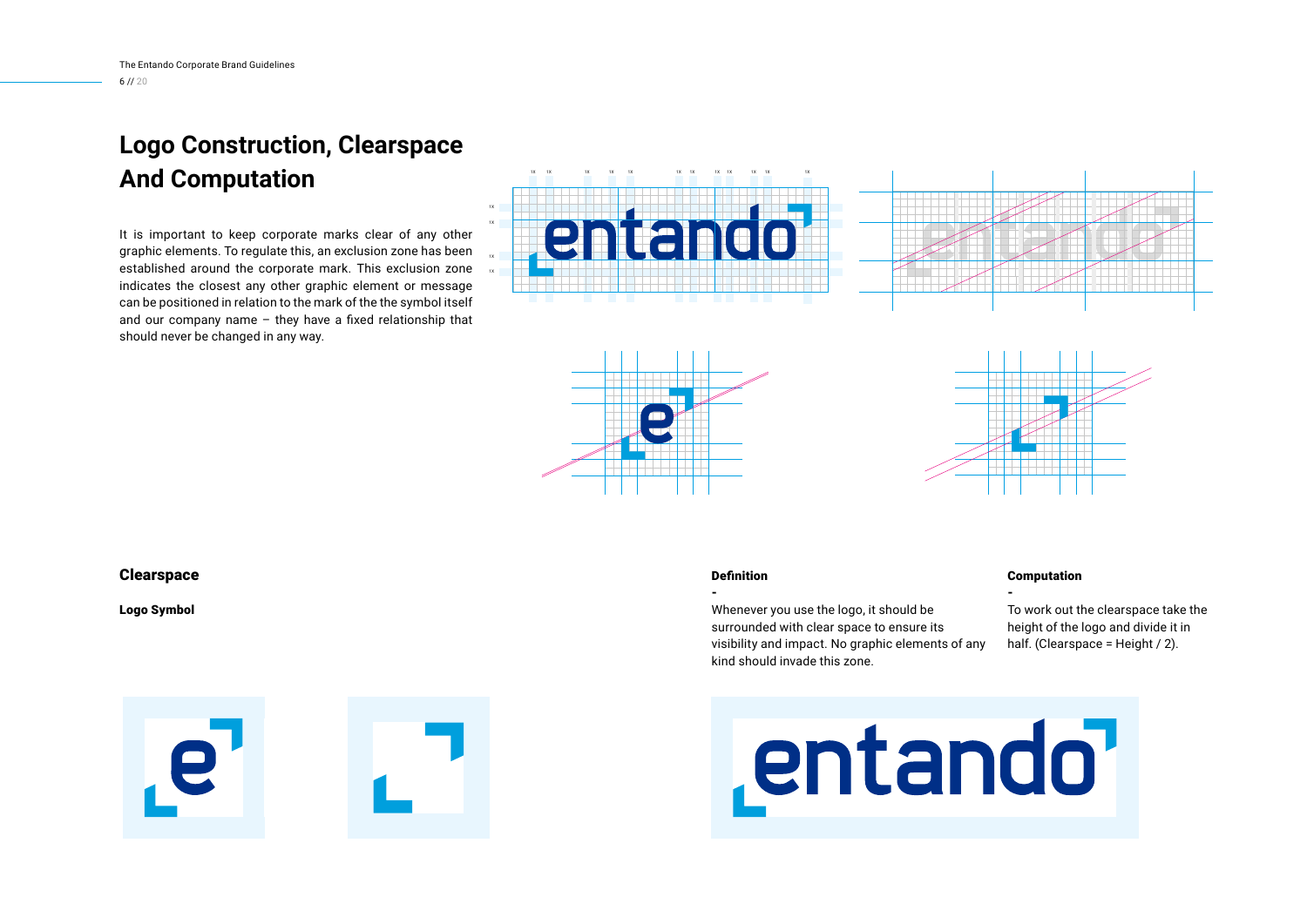## **Logo Construction, Clearspace And Computation**

It is important to keep corporate marks clear of any other graphic elements. To regulate this, an exclusion zone has been established around the corporate mark. This exclusion zone indicates the closest any other graphic element or message can be positioned in relation to the mark of the the symbol itself and our company name – they have a fixed relationship that should never be changed in any way.









#### **Clearspace**

Logo Symbol



Whenever you use the logo, it should be surrounded with clear space to ensure its visibility and impact. No graphic elements of any kind should invade this zone.

#### Computation

- To work out the clearspace take the height of the logo and divide it in half. (Clearspace = Height / 2).



# entando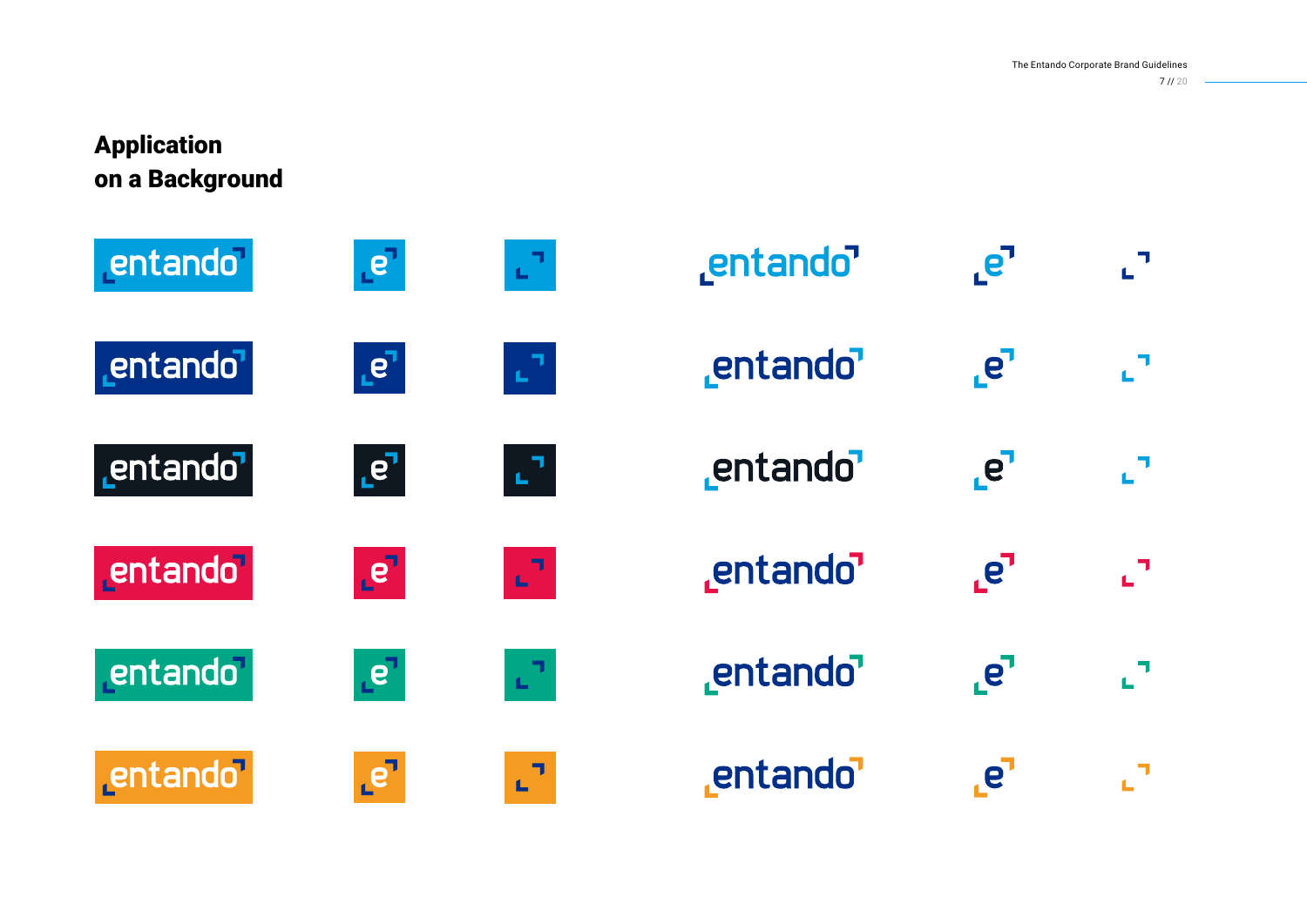## Application on a Background



| entando <sup>7</sup> | $\cdot$ e |        |
|----------------------|-----------|--------|
| entando              | $e^r$     | ี่∟่ ื |
| entando              | $e^7$     | ่∟่า   |
| entando'             | $e^7$     | ᇅ      |
| entando <sup>7</sup> | $e^r$     | ᇅ      |
| entando'             | <b>e</b>  |        |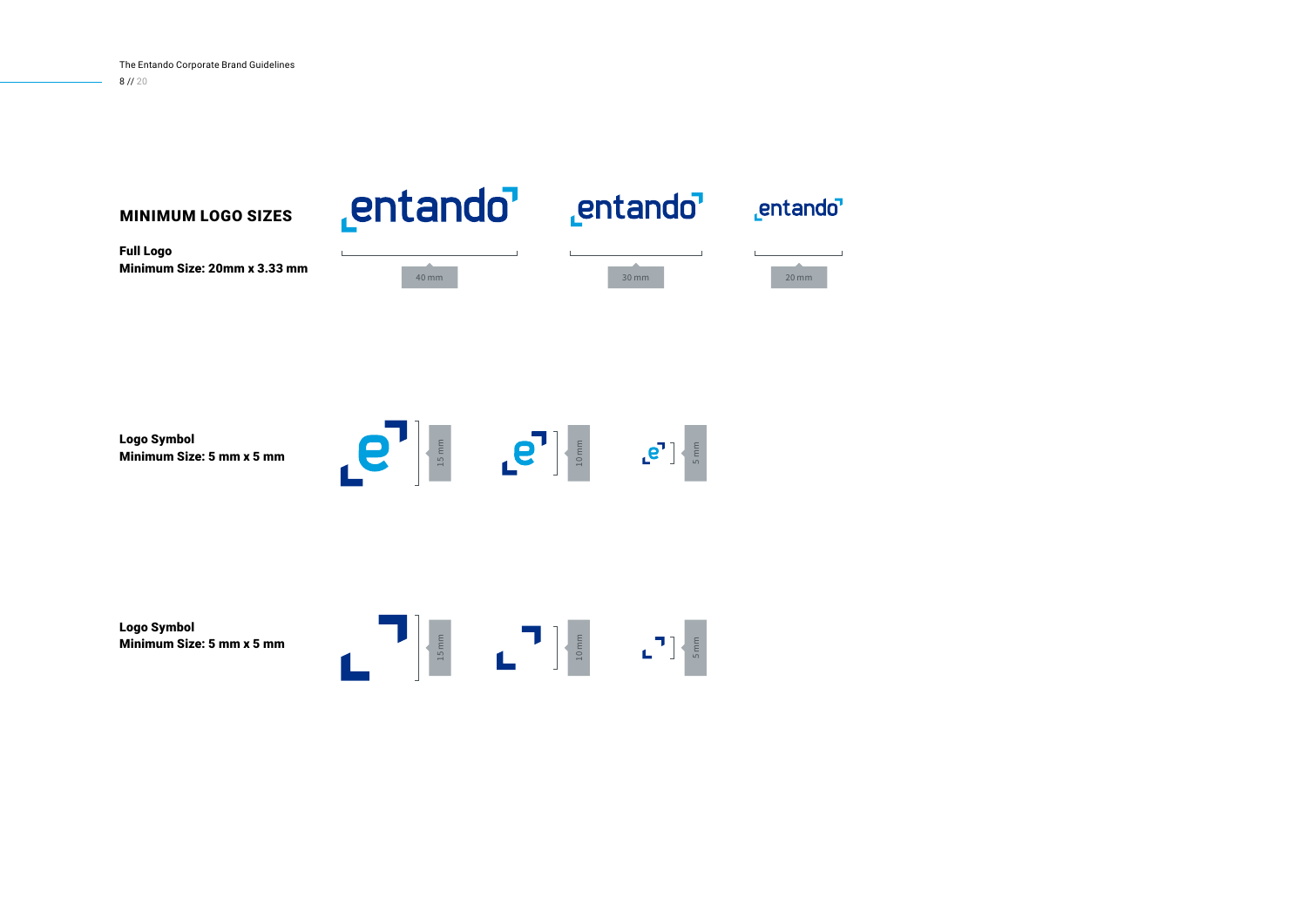entando<sup>7</sup> entando<sup>7</sup> \_entando<sup>1</sup> MINIMUM LOGO SIZES Full Logo Minimum Size: 20mm x 3.33 mm 40 mm 30 mm 20 mm



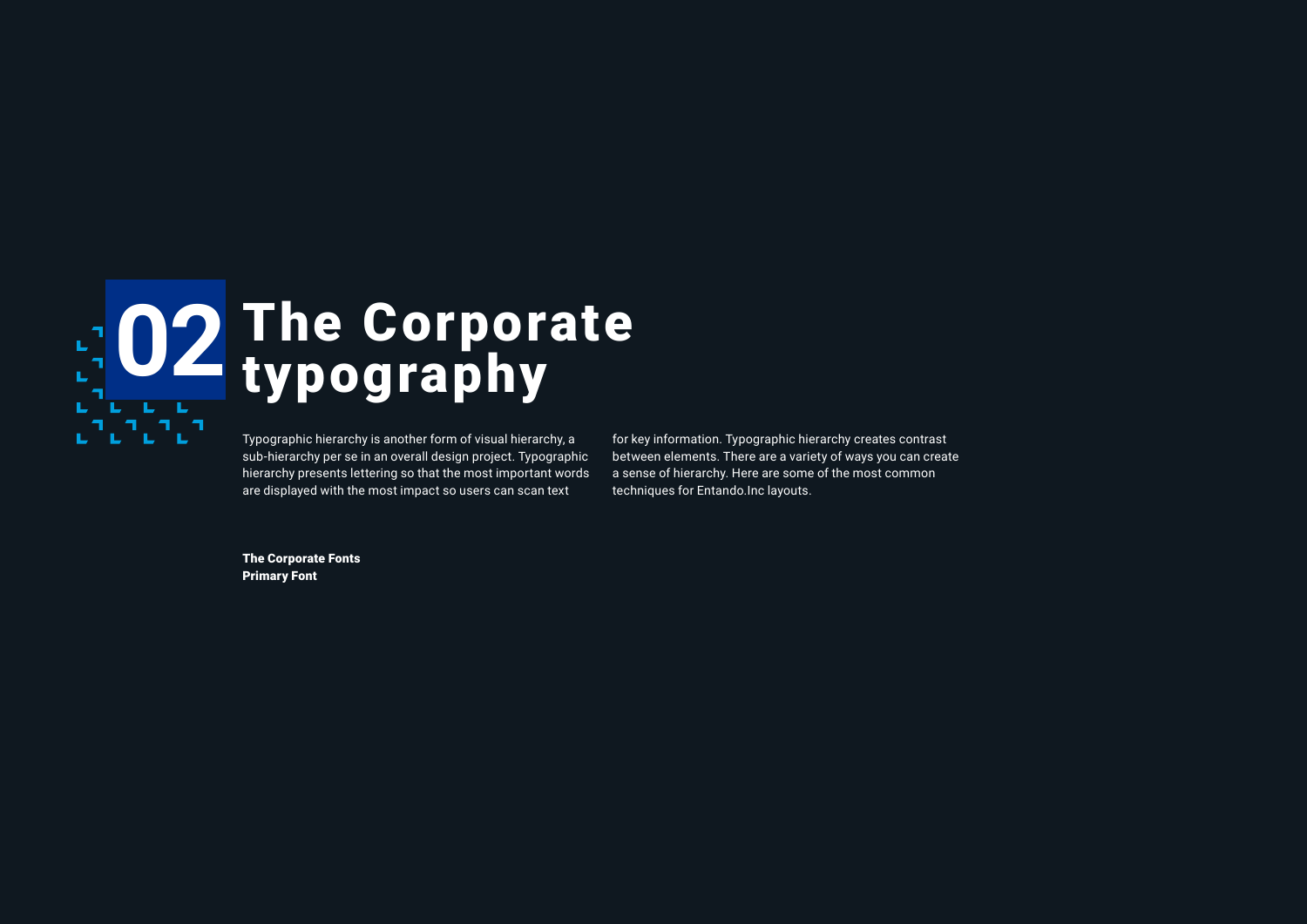

sub-hierarchy per se in an overall design project. Typographic hierarchy presents lettering so that the most important words are displayed with the most impact so users can scan text

for key information. Typographic hierarchy creates contrast between elements. There are a variety of ways you can create a sense of hierarchy. Here are some of the most common techniques for Entando.Inc layouts.

**The Corporate Fonts** Primary Font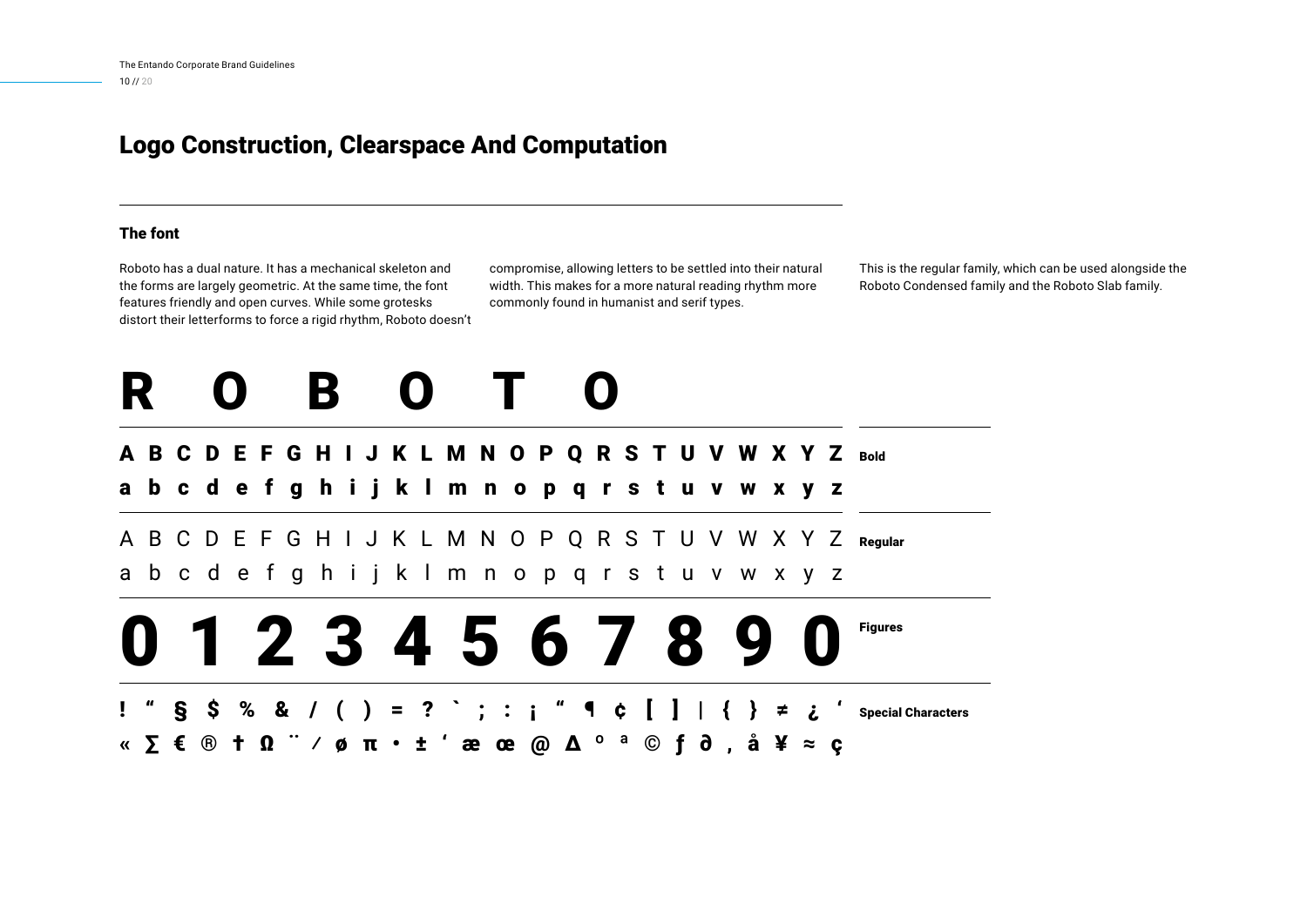### Logo Construction, Clearspace And Computation

#### The font

Roboto has a dual nature. It has a mechanical skeleton and the forms are largely geometric. At the same time, the font features friendly and open curves. While some grotesks distort their letterforms to force a rigid rhythm, Roboto doesn't compromise, allowing letters to be settled into their natural width. This makes for a more natural reading rhythm more commonly found in humanist and serif types.

This is the regular family, which can be used alongside the Roboto Condensed family and the Roboto Slab family.

## ROBOTO

### A B C D E F G H I J K L M N O P Q R S T U V W X Y Z  $_{\tiny\textsf{Bold}}$

abcdefghijklmnopqrstuvwxyz

A B C D E F G H I J K L M N O P Q R S T U V W X Y Z Regular abcdefghijklmnopqrstuvwxyz

## 01234567890 **Figures**

Special Characters  $!$  " § \$ % & / ( ) = ? ` ; : ; " ¶ ¢ [ ] | «∑€® † Ω¨⁄ø π • ±'æœ@∆º ª© ƒ ∂' å ¥ ≈ ç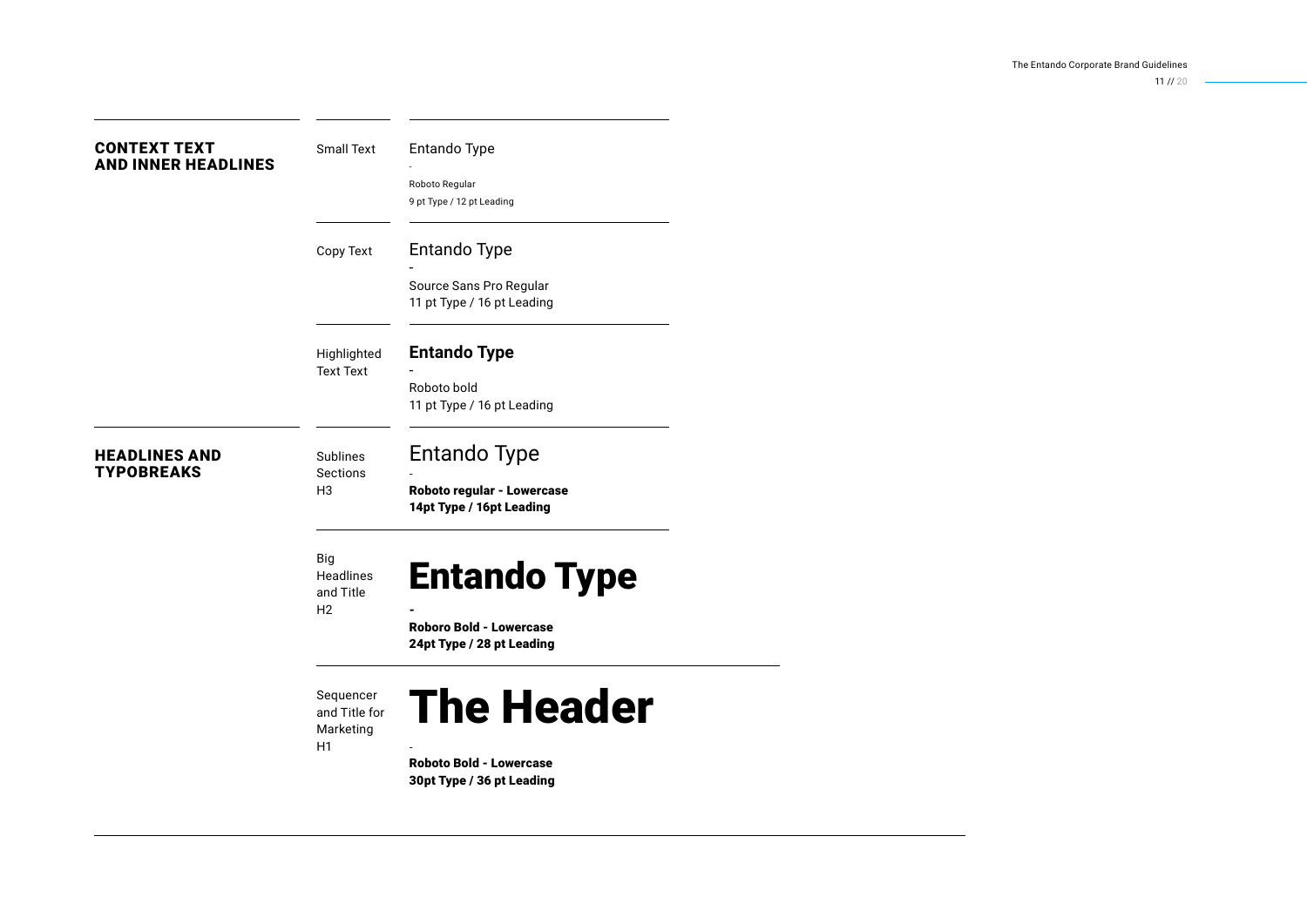$11 / 120$ 

| <b>CONTEXT TEXT</b><br><b>AND INNER HEADLINES</b> | Small Text                  | Entando Type                   |
|---------------------------------------------------|-----------------------------|--------------------------------|
|                                                   |                             | Roboto Regular                 |
|                                                   |                             | 9 pt Type / 12 pt Leading      |
|                                                   | Copy Text                   | Entando Type                   |
|                                                   |                             | Source Sans Pro Regular        |
|                                                   |                             | 11 pt Type / 16 pt Leading     |
|                                                   | Highlighted                 | <b>Entando Type</b>            |
|                                                   | <b>Text Text</b>            |                                |
|                                                   |                             | Roboto bold                    |
|                                                   |                             | 11 pt Type / 16 pt Leading     |
| <b>HEADLINES AND</b>                              | Sublines                    | <b>Entando Type</b>            |
| <b>TYPOBREAKS</b>                                 | Sections<br>H <sub>3</sub>  | Roboto regular - Lowercase     |
|                                                   |                             | 14pt Type / 16pt Leading       |
|                                                   | Big                         |                                |
|                                                   | Headlines                   | <b>Entando Type</b>            |
|                                                   | and Title<br>H <sub>2</sub> |                                |
|                                                   |                             | <b>Roboro Bold - Lowercase</b> |
|                                                   |                             | 24pt Type / 28 pt Leading      |
|                                                   | Sequencer                   |                                |
|                                                   | and Title for               | <b>The Header</b>              |
|                                                   | Marketing                   |                                |
|                                                   | H1                          | <b>Roboto Bold - Lowercase</b> |
|                                                   |                             |                                |

30pt Type / 36 pt Leading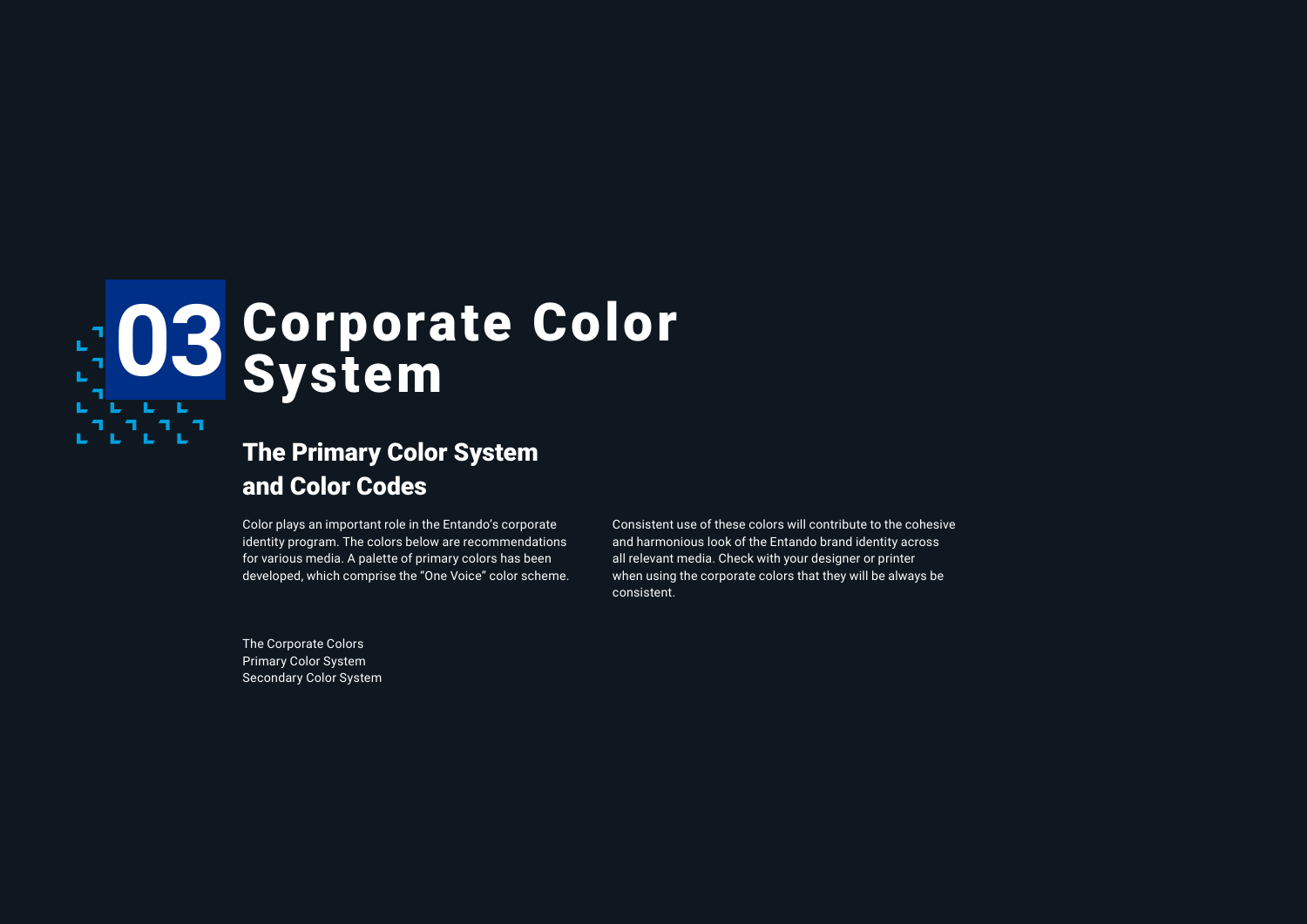## **03** Corporate Color System **L** L <sub>`</sub>∟าূาূา

## The Primary Color System and Color Codes

Color plays an important role in the Entando's corporate identity program. The colors below are recommendations for various media. A palette of primary colors has been developed, which comprise the "One Voice" color scheme. Consistent use of these colors will contribute to the cohesive and harmonious look of the Entando brand identity across all relevant media. Check with your designer or printer when using the corporate colors that they will be always be consistent.

The Corporate Colors Primary Color System Secondary Color System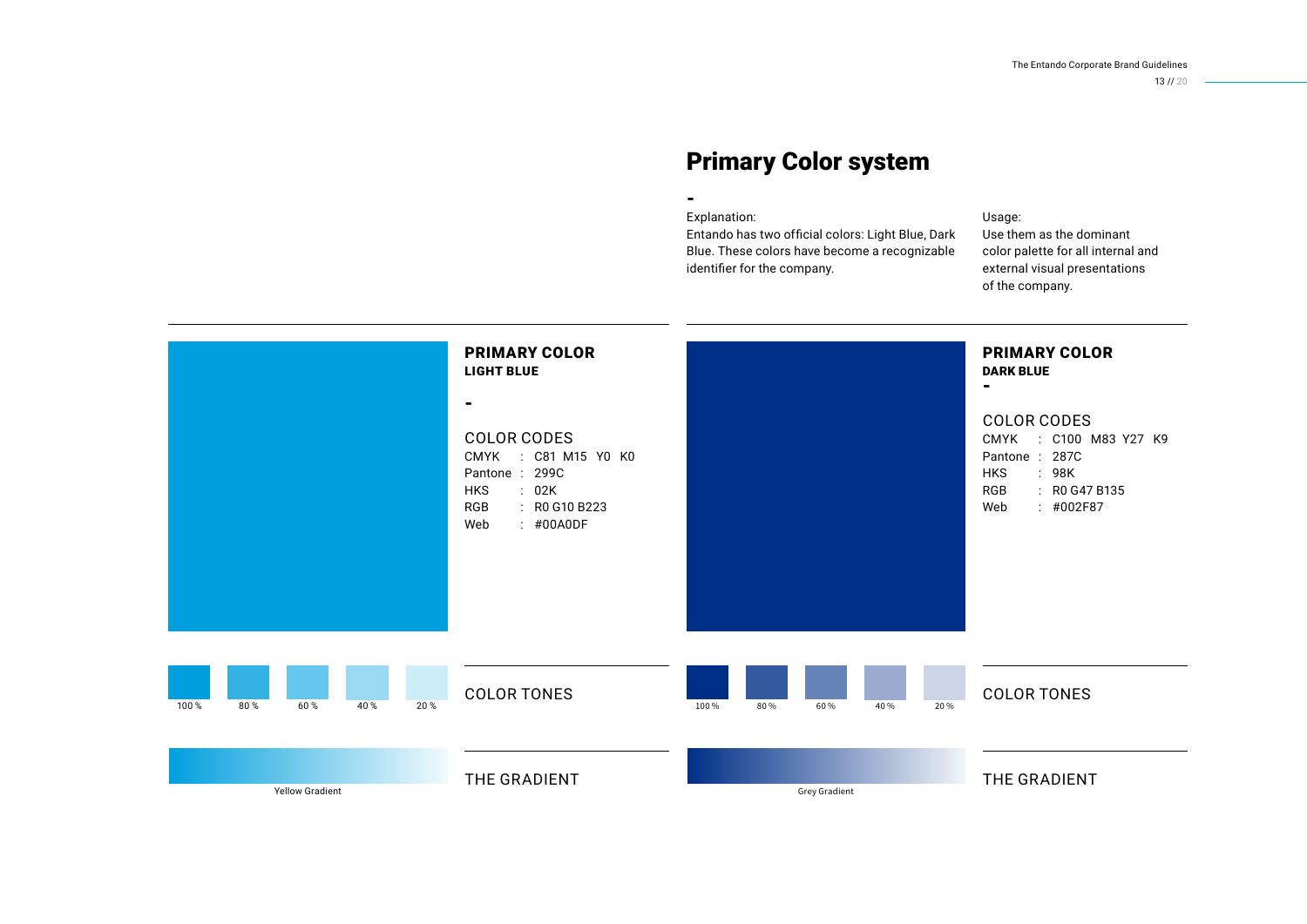13 // 20

## Primary Color system

#### Explanation:

-

Entando has two official colors: Light Blue, Dark Blue. These colors have become a recognizable identifier for the company.

#### Usage:

Use them as the dominant color palette for all internal and external visual presentations of the company.

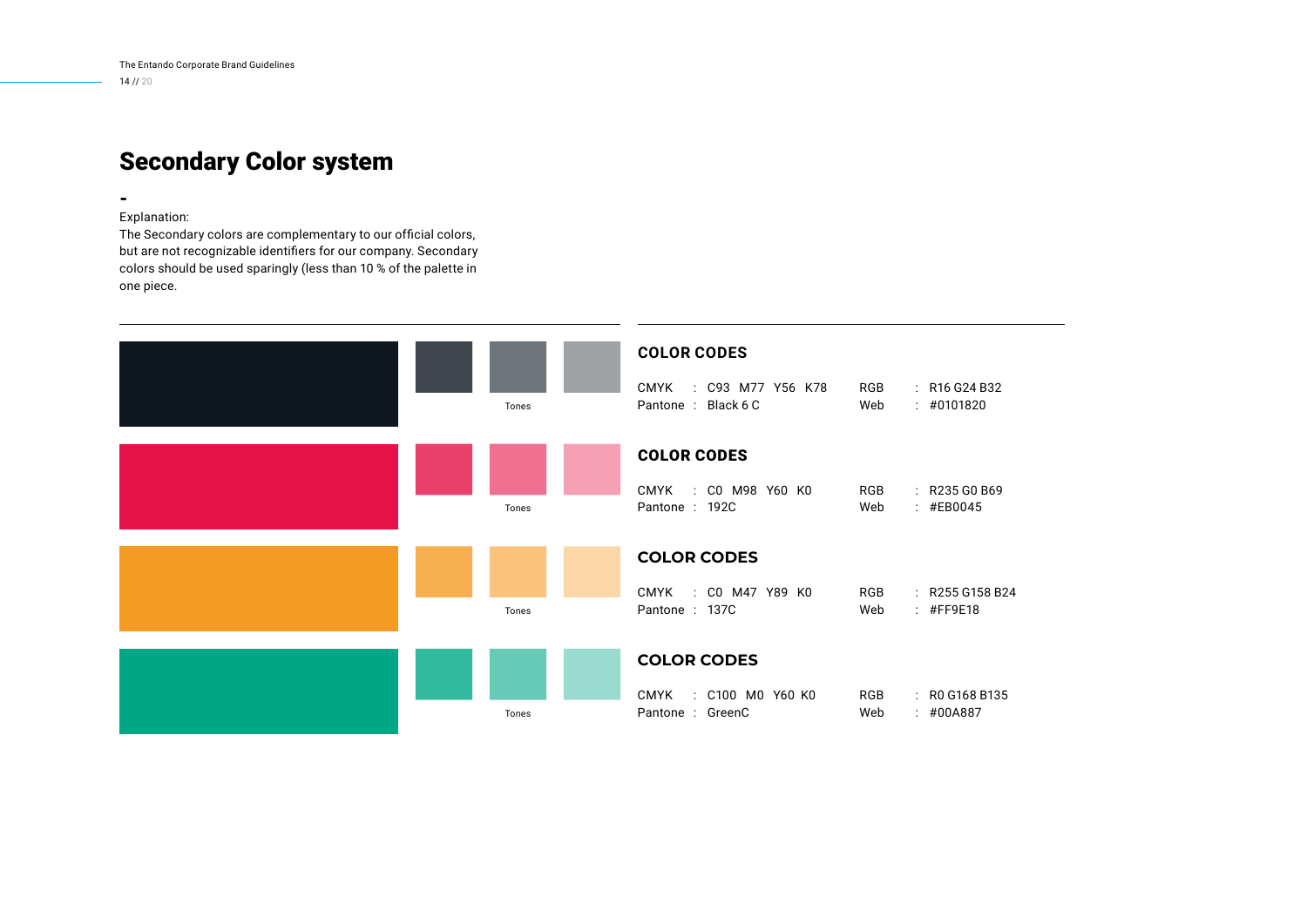## Secondary Color system

Explanation:

-

The Secondary colors are complementary to our official colors, but are not recognizable identifiers for our company. Secondary colors should be used sparingly (less than 10 % of the palette in one piece.

| Tones | <b>COLOR CODES</b><br>CMYK : C93 M77 Y56 K78<br>Pantone: Black 6 C | RGB<br>$\therefore$ R16 G24 B32<br>Web<br>: 40101820  |
|-------|--------------------------------------------------------------------|-------------------------------------------------------|
| Tones | <b>COLOR CODES</b><br>CMYK : CO M98 Y60 KO<br>Pantone: 192C        | RGB<br>: R235 G0 B69<br>: #EB0045<br>Web              |
| Tones | <b>COLOR CODES</b><br>CMYK : CO M47 Y89 KO<br>Pantone: 137C        | RGB<br>$\therefore$ R255 G158 B24<br>Web<br>: #FF9E18 |
| Tones | <b>COLOR CODES</b><br>CMYK : C100 M0 Y60 K0<br>Pantone : GreenC    | RGB<br>$\therefore$ RO G168 B135<br>Web<br>: 400A887  |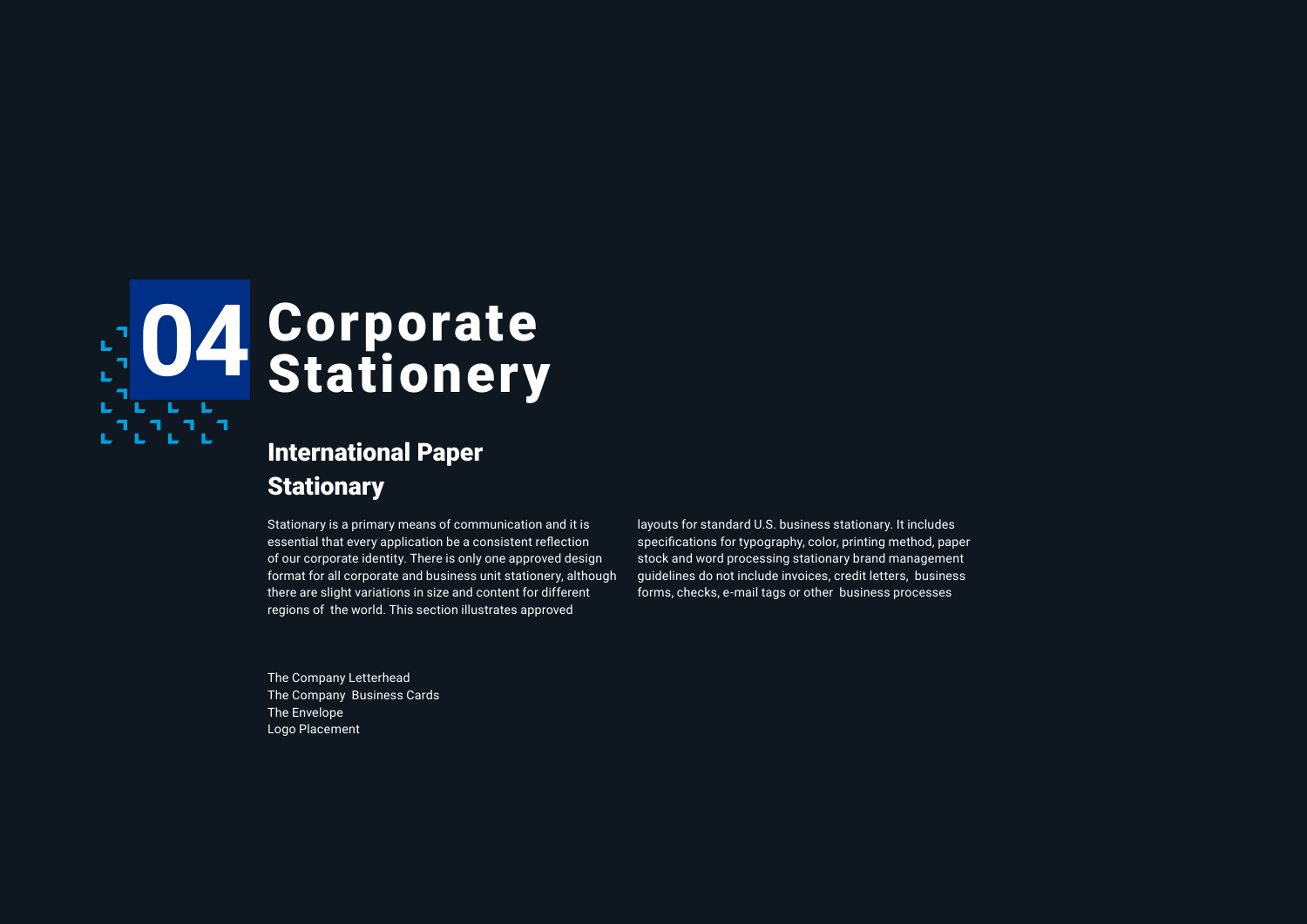

## International Paper **Stationary**

Stationary is a primary means of communication and it is essential that every application be a consistent reflection of our corporate identity. There is only one approved design format for all corporate and business unit stationery, although there are slight variations in size and content for different regions of the world. This section illustrates approved

layouts for standard U.S. business stationary. It includes specifications for typography, color, printing method, paper stock and word processing stationary brand management guidelines do not include invoices, credit letters, business forms, checks, e-mail tags or other business processes

The Company Letterhead The Company Business Cards The Envelope Logo Placement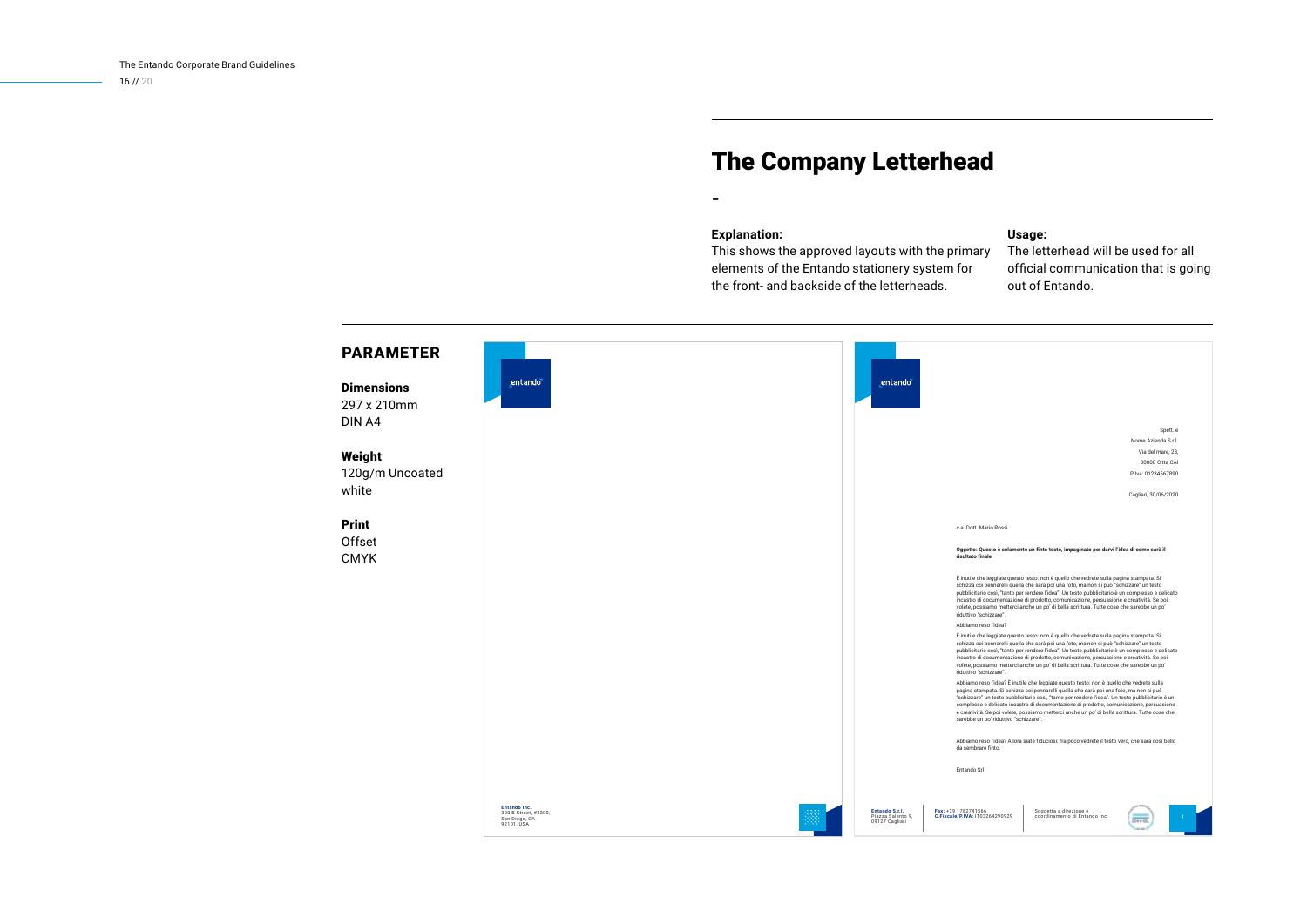### The Company Letterhead

#### **Explanation:**

-

#### **Usage:**

This shows the approved layouts with the primary elements of the Entando stationery system for the front- and backside of the letterheads.

The letterhead will be used for all official communication that is going out of Entando.

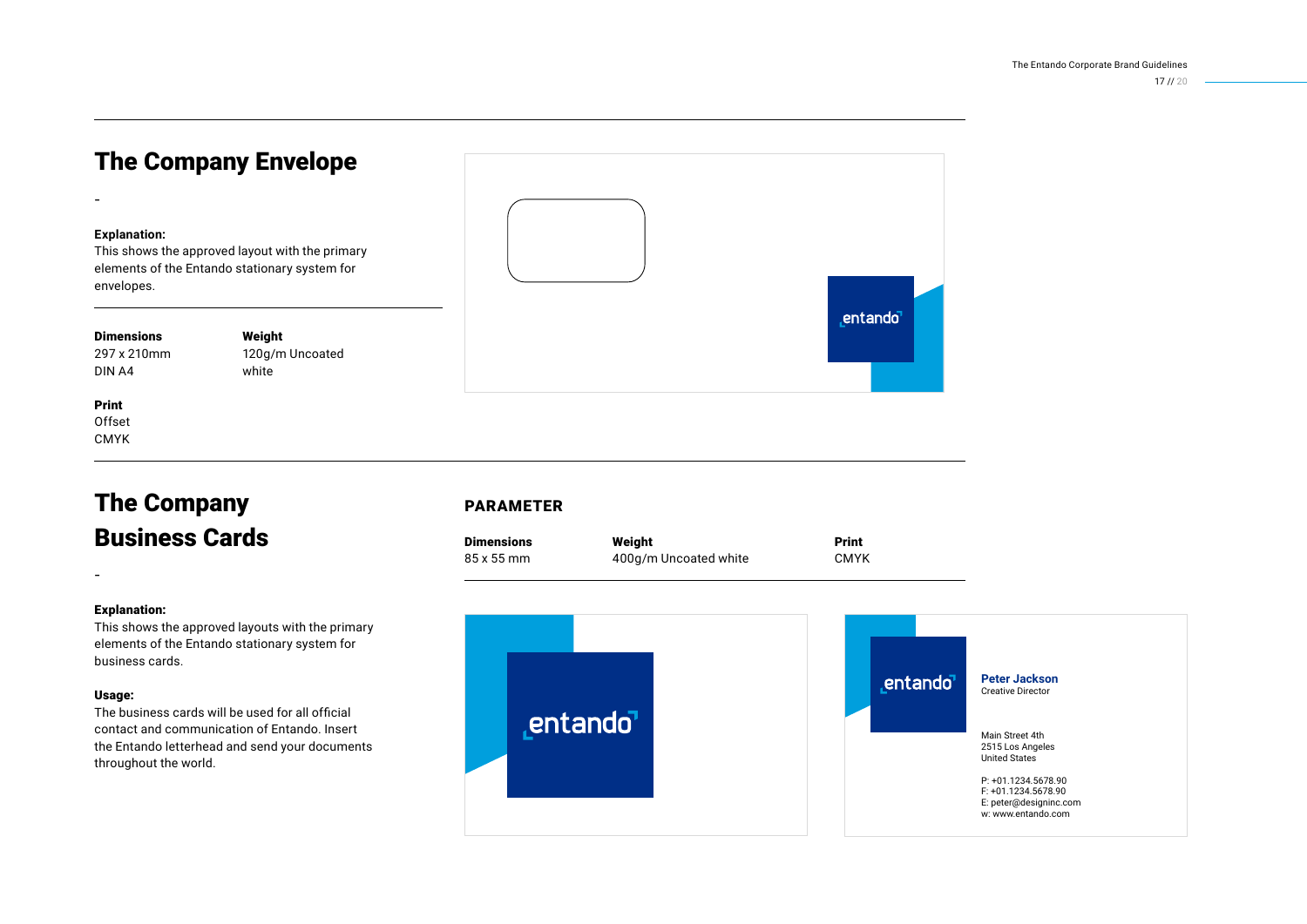## The Company Envelope

#### **Explanation:**

-

This shows the approved layout with the primary elements of the Entando stationary system for envelopes.

#### Dimensions

297 x 210mm DIN A4

Weight 120g/m Uncoated white

#### Print **Offset** CMYK

The Company Business Cards

#### Explanation:

-

This shows the approved layouts with the primary elements of the Entando stationary system for business cards.

#### Usage:

The business cards will be used for all official contact and communication of Entando. Insert the Entando letterhead and send your documents throughout the world.



#### PARAMETER

| <b>Dimensions</b> | Weight                | Print       |
|-------------------|-----------------------|-------------|
| 85 x 55 mm        | 400g/m Uncoated white | <b>CMYK</b> |

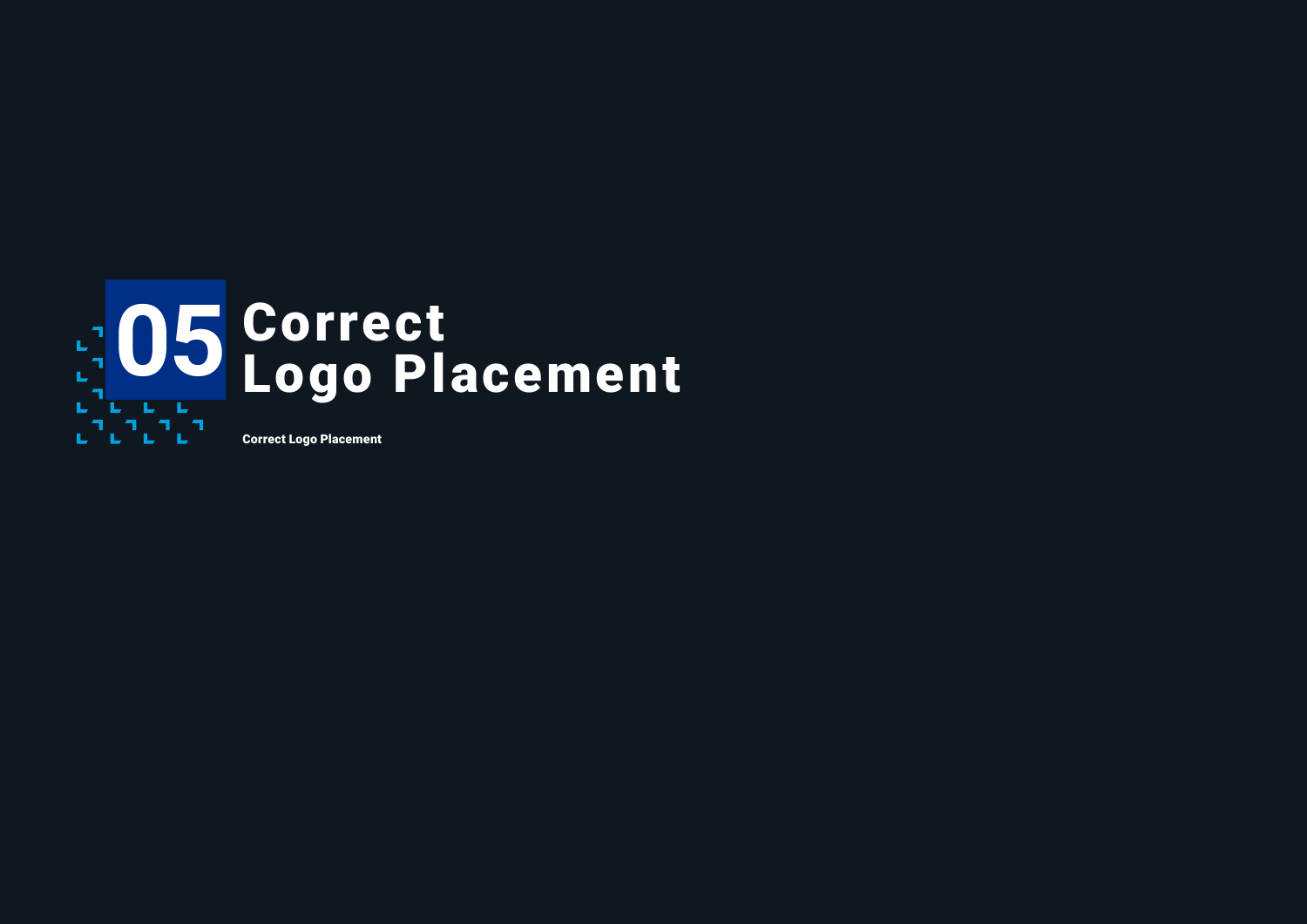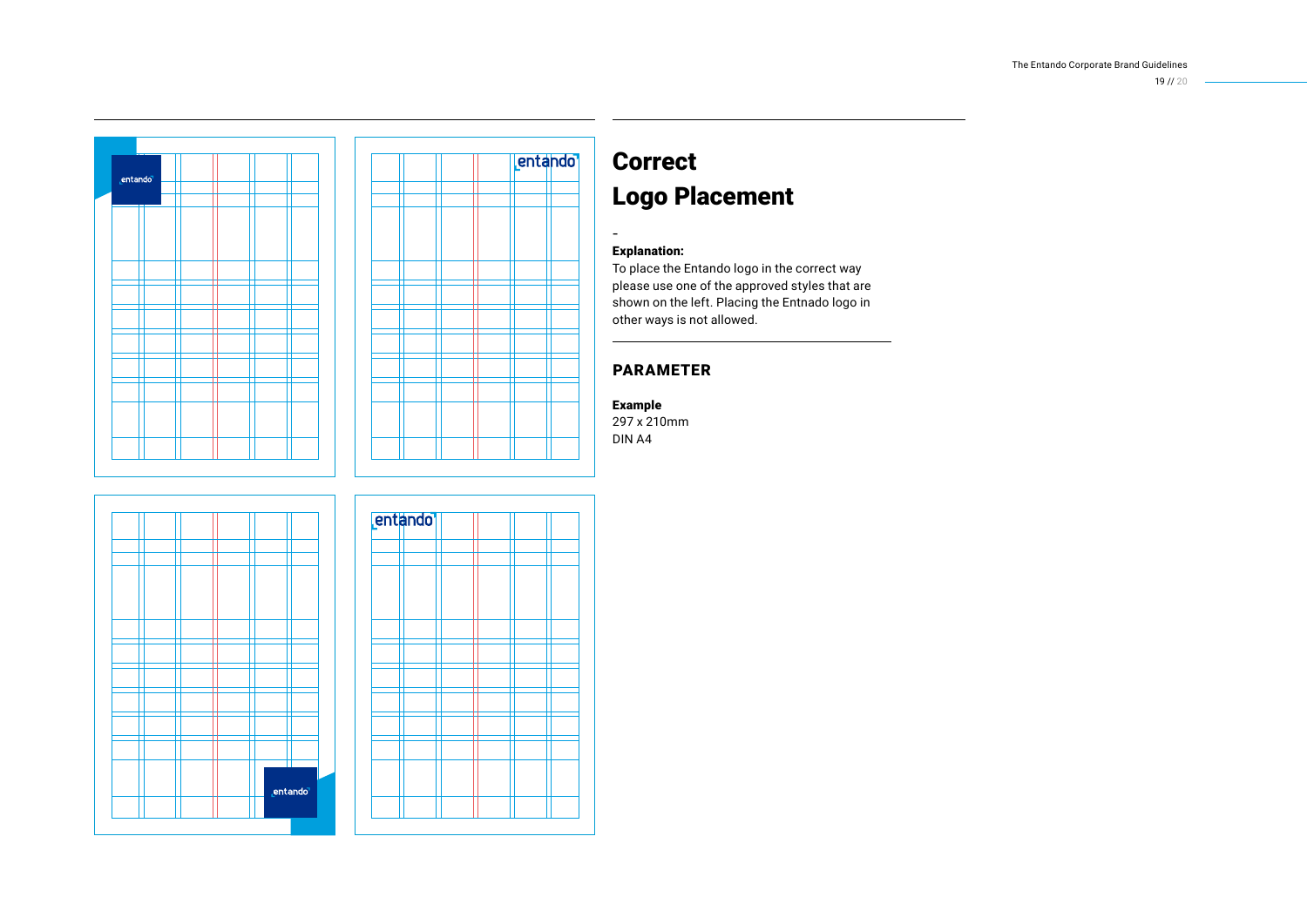

## Correct Logo Placement

#### Explanation:

-

To place the Entando logo in the correct way please use one of the approved styles that are shown on the left. Placing the Entnado logo in other ways is not allowed.

#### PARAMETER

#### Example

297 x 210mm DIN A4